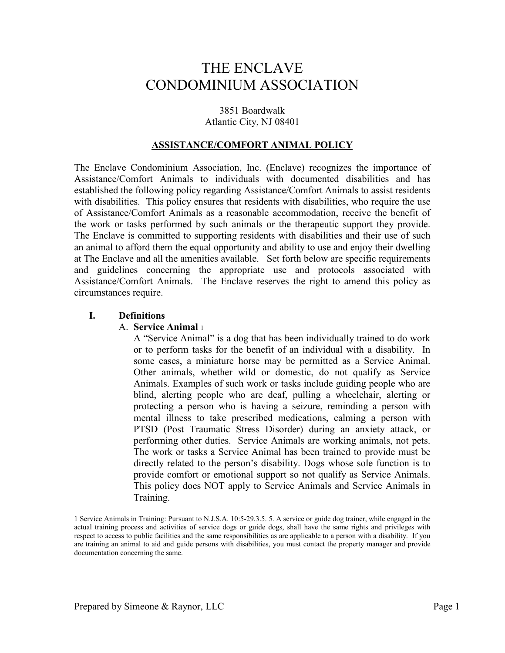## THE ENCLAVE CONDOMINIUM ASSOCIATION

3851 Boardwalk Atlantic City, NJ 08401

#### **ASSISTANCE/COMFORT ANIMAL POLICY**

The Enclave Condominium Association, Inc. (Enclave) recognizes the importance of Assistance/Comfort Animals to individuals with documented disabilities and has established the following policy regarding Assistance/Comfort Animals to assist residents with disabilities. This policy ensures that residents with disabilities, who require the use of Assistance/Comfort Animals as a reasonable accommodation, receive the benefit of the work or tasks performed by such animals or the therapeutic support they provide. The Enclave is committed to supporting residents with disabilities and their use of such an animal to afford them the equal opportunity and ability to use and enjoy their dwelling at The Enclave and all the amenities available. Set forth below are specific requirements and guidelines concerning the appropriate use and protocols associated with Assistance/Comfort Animals. The Enclave reserves the right to amend this policy as circumstances require.

#### **I. Definitions**

#### A. **Service Animal** <sup>1</sup>

A "Service Animal" is a dog that has been individually trained to do work or to perform tasks for the benefit of an individual with a disability. In some cases, a miniature horse may be permitted as a Service Animal. Other animals, whether wild or domestic, do not qualify as Service Animals. Examples of such work or tasks include guiding people who are blind, alerting people who are deaf, pulling a wheelchair, alerting or protecting a person who is having a seizure, reminding a person with mental illness to take prescribed medications, calming a person with PTSD (Post Traumatic Stress Disorder) during an anxiety attack, or performing other duties. Service Animals are working animals, not pets. The work or tasks a Service Animal has been trained to provide must be directly related to the person's disability. Dogs whose sole function is to provide comfort or emotional support so not qualify as Service Animals. This policy does NOT apply to Service Animals and Service Animals in Training.

<sup>1</sup> Service Animals in Training: Pursuant to N.J.S.A. 10:5-29.3.5. 5. A service or guide dog trainer, while engaged in the actual training process and activities of service dogs or guide dogs, shall have the same rights and privileges with respect to access to public facilities and the same responsibilities as are applicable to a person with a disability. If you are training an animal to aid and guide persons with disabilities, you must contact the property manager and provide documentation concerning the same.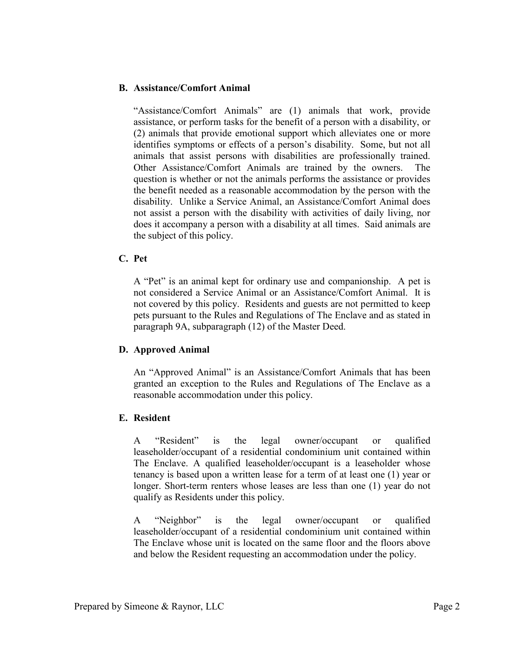#### **B. Assistance/Comfort Animal**

"Assistance/Comfort Animals" are (1) animals that work, provide assistance, or perform tasks for the benefit of a person with a disability, or (2) animals that provide emotional support which alleviates one or more identifies symptoms or effects of a person's disability. Some, but not all animals that assist persons with disabilities are professionally trained. Other Assistance/Comfort Animals are trained by the owners. question is whether or not the animals performs the assistance or provides the benefit needed as a reasonable accommodation by the person with the disability. Unlike a Service Animal, an Assistance/Comfort Animal does not assist a person with the disability with activities of daily living, nor does it accompany a person with a disability at all times. Said animals are the subject of this policy.

#### **C. Pet**

A "Pet" is an animal kept for ordinary use and companionship. A pet is not considered a Service Animal or an Assistance/Comfort Animal. It is not covered by this policy. Residents and guests are not permitted to keep pets pursuant to the Rules and Regulations of The Enclave and as stated in paragraph 9A, subparagraph (12) of the Master Deed.

#### **D. Approved Animal**

An "Approved Animal" is an Assistance/Comfort Animals that has been granted an exception to the Rules and Regulations of The Enclave as a reasonable accommodation under this policy.

#### **E. Resident**

A "Resident" is the legal owner/occupant or qualified leaseholder/occupant of a residential condominium unit contained within The Enclave. A qualified leaseholder/occupant is a leaseholder whose tenancy is based upon a written lease for a term of at least one (1) year or longer. Short-term renters whose leases are less than one (1) year do not qualify as Residents under this policy.

A "Neighbor" is the legal owner/occupant or qualified leaseholder/occupant of a residential condominium unit contained within The Enclave whose unit is located on the same floor and the floors above and below the Resident requesting an accommodation under the policy.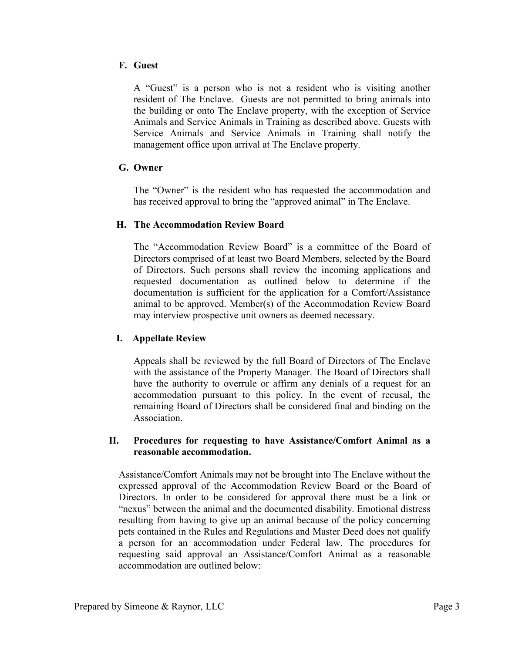#### **F. Guest**

A "Guest" is a person who is not a resident who is visiting another resident of The Enclave. Guests are not permitted to bring animals into the building or onto The Enclave property, with the exception of Service Animals and Service Animals in Training as described above. Guests with Service Animals and Service Animals in Training shall notify the management office upon arrival at The Enclave property.

#### **G. Owner**

The "Owner" is the resident who has requested the accommodation and has received approval to bring the "approved animal" in The Enclave.

#### **H. The Accommodation Review Board**

The "Accommodation Review Board" is a committee of the Board of Directors comprised of at least two Board Members, selected by the Board of Directors. Such persons shall review the incoming applications and requested documentation as outlined below to determine if the documentation is sufficient for the application for a Comfort/Assistance animal to be approved. Member(s) of the Accommodation Review Board may interview prospective unit owners as deemed necessary.

#### **I. Appellate Review**

Appeals shall be reviewed by the full Board of Directors of The Enclave with the assistance of the Property Manager. The Board of Directors shall have the authority to overrule or affirm any denials of a request for an accommodation pursuant to this policy. In the event of recusal, the remaining Board of Directors shall be considered final and binding on the Association.

#### **II. Procedures for requesting to have Assistance/Comfort Animal as a reasonable accommodation.**

Assistance/Comfort Animals may not be brought into The Enclave without the expressed approval of the Accommodation Review Board or the Board of Directors. In order to be considered for approval there must be a link or "nexus" between the animal and the documented disability. Emotional distress resulting from having to give up an animal because of the policy concerning pets contained in the Rules and Regulations and Master Deed does not qualify a person for an accommodation under Federal law. The procedures for requesting said approval an Assistance/Comfort Animal as a reasonable accommodation are outlined below: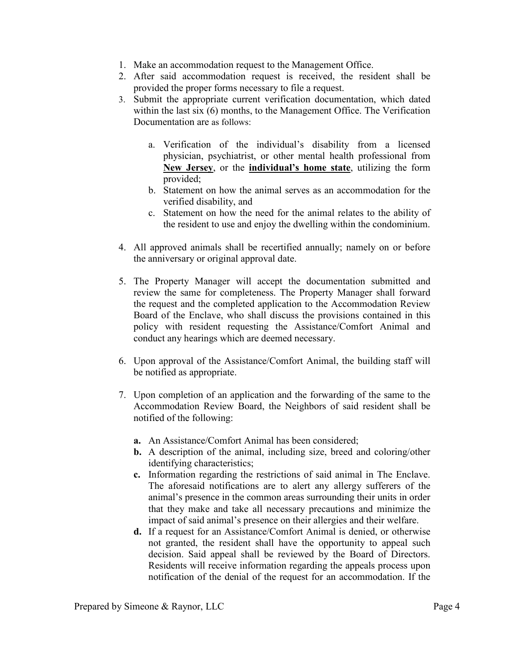- 1. Make an accommodation request to the Management Office.
- 2. After said accommodation request is received, the resident shall be provided the proper forms necessary to file a request.
- 3. Submit the appropriate current verification documentation, which dated within the last six (6) months, to the Management Office. The Verification Documentation are as follows:
	- a. Verification of the individual's disability from a licensed physician, psychiatrist, or other mental health professional from **New Jersey**, or the **individual's home state**, utilizing the form provided;
	- b. Statement on how the animal serves as an accommodation for the verified disability, and
	- c. Statement on how the need for the animal relates to the ability of the resident to use and enjoy the dwelling within the condominium.
- 4. All approved animals shall be recertified annually; namely on or before the anniversary or original approval date.
- 5. The Property Manager will accept the documentation submitted and review the same for completeness. The Property Manager shall forward the request and the completed application to the Accommodation Review Board of the Enclave, who shall discuss the provisions contained in this policy with resident requesting the Assistance/Comfort Animal and conduct any hearings which are deemed necessary.
- 6. Upon approval of the Assistance/Comfort Animal, the building staff will be notified as appropriate.
- 7. Upon completion of an application and the forwarding of the same to the Accommodation Review Board, the Neighbors of said resident shall be notified of the following:
	- **a.** An Assistance/Comfort Animal has been considered;
	- **b.** A description of the animal, including size, breed and coloring/other identifying characteristics;
	- **c.** Information regarding the restrictions of said animal in The Enclave. The aforesaid notifications are to alert any allergy sufferers of the animal's presence in the common areas surrounding their units in order that they make and take all necessary precautions and minimize the impact of said animal's presence on their allergies and their welfare.
	- **d.** If a request for an Assistance/Comfort Animal is denied, or otherwise not granted, the resident shall have the opportunity to appeal such decision. Said appeal shall be reviewed by the Board of Directors. Residents will receive information regarding the appeals process upon notification of the denial of the request for an accommodation. If the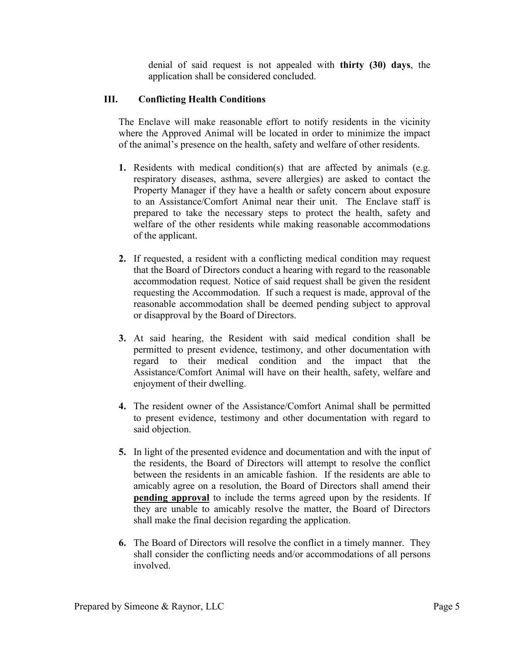denial of said request is not appealed with **thirty (30) days**, the application shall be considered concluded.

#### **III. Conflicting Health Conditions**

The Enclave will make reasonable effort to notify residents in the vicinity where the Approved Animal will be located in order to minimize the impact of the animal's presence on the health, safety and welfare of other residents.

- **1.** Residents with medical condition(s) that are affected by animals (e.g. respiratory diseases, asthma, severe allergies) are asked to contact the Property Manager if they have a health or safety concern about exposure to an Assistance/Comfort Animal near their unit. The Enclave staff is prepared to take the necessary steps to protect the health, safety and welfare of the other residents while making reasonable accommodations of the applicant.
- **2.** If requested, a resident with a conflicting medical condition may request that the Board of Directors conduct a hearing with regard to the reasonable accommodation request. Notice of said request shall be given the resident requesting the Accommodation. If such a request is made, approval of the reasonable accommodation shall be deemed pending subject to approval or disapproval by the Board of Directors.
- **3.** At said hearing, the Resident with said medical condition shall be permitted to present evidence, testimony, and other documentation with regard to their medical condition and the impact that the Assistance/Comfort Animal will have on their health, safety, welfare and enjoyment of their dwelling.
- **4.** The resident owner of the Assistance/Comfort Animal shall be permitted to present evidence, testimony and other documentation with regard to said objection.
- **5.** In light of the presented evidence and documentation and with the input of the residents, the Board of Directors will attempt to resolve the conflict between the residents in an amicable fashion. If the residents are able to amicably agree on a resolution, the Board of Directors shall amend their **pending approval** to include the terms agreed upon by the residents. If they are unable to amicably resolve the matter, the Board of Directors shall make the final decision regarding the application.
- **6.** The Board of Directors will resolve the conflict in a timely manner. They shall consider the conflicting needs and/or accommodations of all persons involved.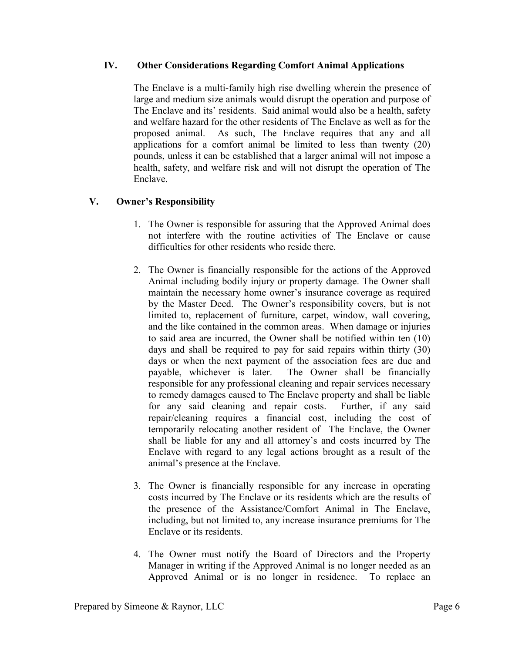#### **IV. Other Considerations Regarding Comfort Animal Applications**

The Enclave is a multi-family high rise dwelling wherein the presence of large and medium size animals would disrupt the operation and purpose of The Enclave and its' residents. Said animal would also be a health, safety and welfare hazard for the other residents of The Enclave as well as for the proposed animal. As such, The Enclave requires that any and all applications for a comfort animal be limited to less than twenty (20) pounds, unless it can be established that a larger animal will not impose a health, safety, and welfare risk and will not disrupt the operation of The Enclave.

#### **V. Owner's Responsibility**

- 1. The Owner is responsible for assuring that the Approved Animal does not interfere with the routine activities of The Enclave or cause difficulties for other residents who reside there.
- 2. The Owner is financially responsible for the actions of the Approved Animal including bodily injury or property damage. The Owner shall maintain the necessary home owner's insurance coverage as required by the Master Deed. The Owner's responsibility covers, but is not limited to, replacement of furniture, carpet, window, wall covering, and the like contained in the common areas. When damage or injuries to said area are incurred, the Owner shall be notified within ten (10) days and shall be required to pay for said repairs within thirty (30) days or when the next payment of the association fees are due and payable, whichever is later. The Owner shall be financially responsible for any professional cleaning and repair services necessary to remedy damages caused to The Enclave property and shall be liable for any said cleaning and repair costs. Further, if any said repair/cleaning requires a financial cost, including the cost of temporarily relocating another resident of The Enclave, the Owner shall be liable for any and all attorney's and costs incurred by The Enclave with regard to any legal actions brought as a result of the animal's presence at the Enclave.
- 3. The Owner is financially responsible for any increase in operating costs incurred by The Enclave or its residents which are the results of the presence of the Assistance/Comfort Animal in The Enclave, including, but not limited to, any increase insurance premiums for The Enclave or its residents.
- 4. The Owner must notify the Board of Directors and the Property Manager in writing if the Approved Animal is no longer needed as an Approved Animal or is no longer in residence. To replace an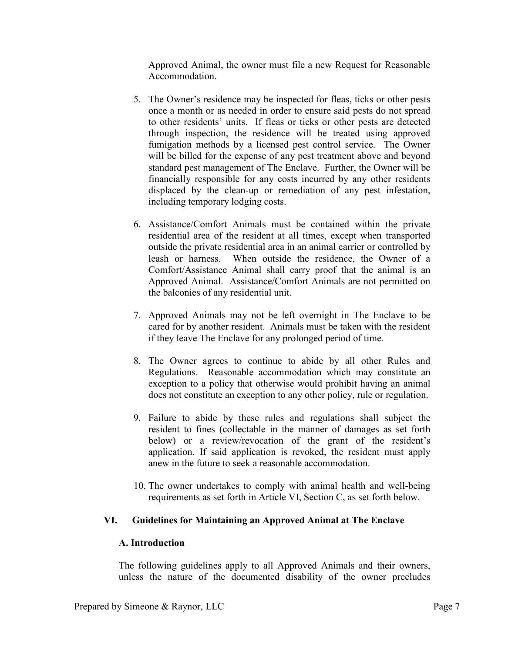Approved Animal, the owner must file a new Request for Reasonable Accommodation.

- 5. The Owner's residence may be inspected for fleas, ticks or other pests once a month or as needed in order to ensure said pests do not spread to other residents' units. If fleas or ticks or other pests are detected through inspection, the residence will be treated using approved fumigation methods by a licensed pest control service. The Owner will be billed for the expense of any pest treatment above and beyond standard pest management of The Enclave. Further, the Owner will be financially responsible for any costs incurred by any other residents displaced by the clean-up or remediation of any pest infestation, including temporary lodging costs.
- 6. Assistance/Comfort Animals must be contained within the private residential area of the resident at all times, except when transported outside the private residential area in an animal carrier or controlled by leash or harness. When outside the residence, the Owner of a Comfort/Assistance Animal shall carry proof that the animal is an Approved Animal. Assistance/Comfort Animals are not permitted on the balconies of any residential unit.
- 7. Approved Animals may not be left overnight in The Enclave to be cared for by another resident. Animals must be taken with the resident if they leave The Enclave for any prolonged period of time.
- 8. The Owner agrees to continue to abide by all other Rules and Regulations. Reasonable accommodation which may constitute an exception to a policy that otherwise would prohibit having an animal does not constitute an exception to any other policy, rule or regulation.
- 9. Failure to abide by these rules and regulations shall subject the resident to fines (collectable in the manner of damages as set forth below) or a review/revocation of the grant of the resident's application. If said application is revoked, the resident must apply anew in the future to seek a reasonable accommodation.
- 10. The owner undertakes to comply with animal health and well-being requirements as set forth in Article VI, Section C, as set forth below.

#### **VI. Guidelines for Maintaining an Approved Animal at The Enclave**

#### **A. Introduction**

The following guidelines apply to all Approved Animals and their owners, unless the nature of the documented disability of the owner precludes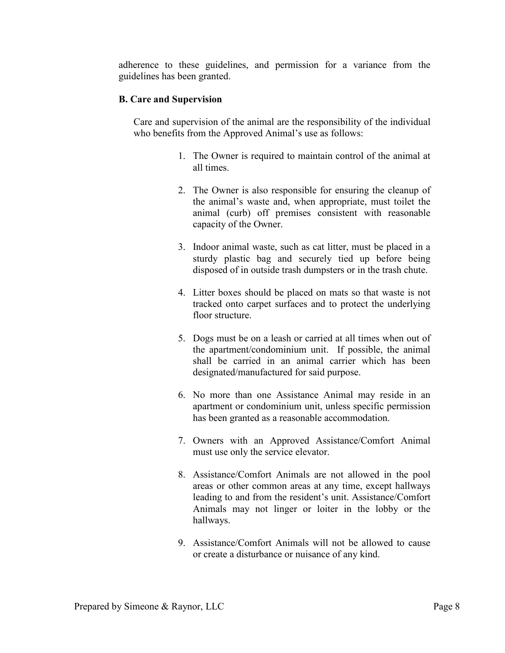adherence to these guidelines, and permission for a variance from the guidelines has been granted.

#### **B. Care and Supervision**

Care and supervision of the animal are the responsibility of the individual who benefits from the Approved Animal's use as follows:

- 1. The Owner is required to maintain control of the animal at all times.
- 2. The Owner is also responsible for ensuring the cleanup of the animal's waste and, when appropriate, must toilet the animal (curb) off premises consistent with reasonable capacity of the Owner.
- 3. Indoor animal waste, such as cat litter, must be placed in a sturdy plastic bag and securely tied up before being disposed of in outside trash dumpsters or in the trash chute.
- 4. Litter boxes should be placed on mats so that waste is not tracked onto carpet surfaces and to protect the underlying floor structure.
- 5. Dogs must be on a leash or carried at all times when out of the apartment/condominium unit. If possible, the animal shall be carried in an animal carrier which has been designated/manufactured for said purpose.
- 6. No more than one Assistance Animal may reside in an apartment or condominium unit, unless specific permission has been granted as a reasonable accommodation.
- 7. Owners with an Approved Assistance/Comfort Animal must use only the service elevator.
- 8. Assistance/Comfort Animals are not allowed in the pool areas or other common areas at any time, except hallways leading to and from the resident's unit. Assistance/Comfort Animals may not linger or loiter in the lobby or the hallways.
- 9. Assistance/Comfort Animals will not be allowed to cause or create a disturbance or nuisance of any kind.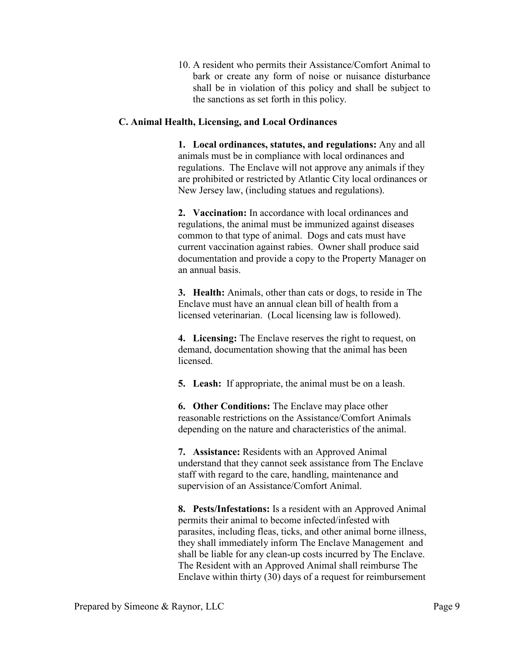10. A resident who permits their Assistance/Comfort Animal to bark or create any form of noise or nuisance disturbance shall be in violation of this policy and shall be subject to the sanctions as set forth in this policy.

#### **C. Animal Health, Licensing, and Local Ordinances**

**1. Local ordinances, statutes, and regulations:** Any and all animals must be in compliance with local ordinances and regulations. The Enclave will not approve any animals if they are prohibited or restricted by Atlantic City local ordinances or New Jersey law, (including statues and regulations).

**2. Vaccination:** In accordance with local ordinances and regulations, the animal must be immunized against diseases common to that type of animal. Dogs and cats must have current vaccination against rabies. Owner shall produce said documentation and provide a copy to the Property Manager on an annual basis.

**3. Health:** Animals, other than cats or dogs, to reside in The Enclave must have an annual clean bill of health from a licensed veterinarian. (Local licensing law is followed).

**4. Licensing:** The Enclave reserves the right to request, on demand, documentation showing that the animal has been licensed.

**5. Leash:** If appropriate, the animal must be on a leash.

**6. Other Conditions:** The Enclave may place other reasonable restrictions on the Assistance/Comfort Animals depending on the nature and characteristics of the animal.

**7. Assistance:** Residents with an Approved Animal understand that they cannot seek assistance from The Enclave staff with regard to the care, handling, maintenance and supervision of an Assistance/Comfort Animal.

**8. Pests/Infestations:** Is a resident with an Approved Animal permits their animal to become infected/infested with parasites, including fleas, ticks, and other animal borne illness, they shall immediately inform The Enclave Management and shall be liable for any clean-up costs incurred by The Enclave. The Resident with an Approved Animal shall reimburse The Enclave within thirty (30) days of a request for reimbursement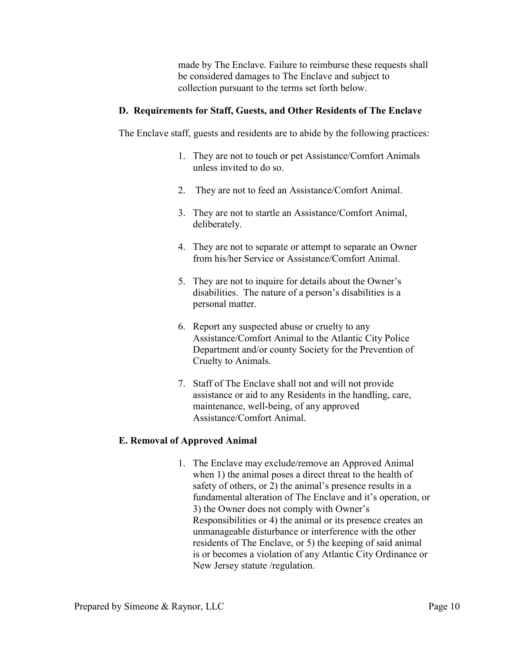made by The Enclave. Failure to reimburse these requests shall be considered damages to The Enclave and subject to collection pursuant to the terms set forth below.

#### **D. Requirements for Staff, Guests, and Other Residents of The Enclave**

The Enclave staff, guests and residents are to abide by the following practices:

- 1. They are not to touch or pet Assistance/Comfort Animals unless invited to do so.
- 2. They are not to feed an Assistance/Comfort Animal.
- 3. They are not to startle an Assistance/Comfort Animal, deliberately.
- 4. They are not to separate or attempt to separate an Owner from his/her Service or Assistance/Comfort Animal.
- 5. They are not to inquire for details about the Owner's disabilities. The nature of a person's disabilities is a personal matter.
- 6. Report any suspected abuse or cruelty to any Assistance/Comfort Animal to the Atlantic City Police Department and/or county Society for the Prevention of Cruelty to Animals.
- 7. Staff of The Enclave shall not and will not provide assistance or aid to any Residents in the handling, care, maintenance, well-being, of any approved Assistance/Comfort Animal.

#### **E. Removal of Approved Animal**

1. The Enclave may exclude/remove an Approved Animal when 1) the animal poses a direct threat to the health of safety of others, or 2) the animal's presence results in a fundamental alteration of The Enclave and it's operation, or 3) the Owner does not comply with Owner's Responsibilities or 4) the animal or its presence creates an unmanageable disturbance or interference with the other residents of The Enclave, or 5) the keeping of said animal is or becomes a violation of any Atlantic City Ordinance or New Jersey statute /regulation.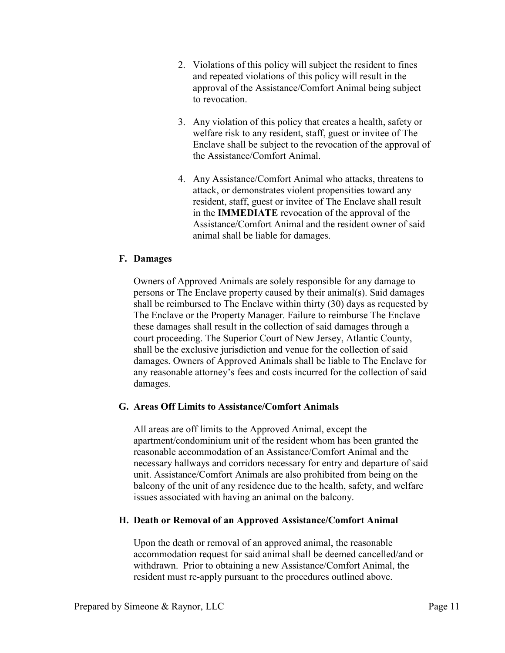- 2. Violations of this policy will subject the resident to fines and repeated violations of this policy will result in the approval of the Assistance/Comfort Animal being subject to revocation.
- 3. Any violation of this policy that creates a health, safety or welfare risk to any resident, staff, guest or invitee of The Enclave shall be subject to the revocation of the approval of the Assistance/Comfort Animal.
- 4. Any Assistance/Comfort Animal who attacks, threatens to attack, or demonstrates violent propensities toward any resident, staff, guest or invitee of The Enclave shall result in the **IMMEDIATE** revocation of the approval of the Assistance/Comfort Animal and the resident owner of said animal shall be liable for damages.

#### **F. Damages**

Owners of Approved Animals are solely responsible for any damage to persons or The Enclave property caused by their animal(s). Said damages shall be reimbursed to The Enclave within thirty (30) days as requested by The Enclave or the Property Manager. Failure to reimburse The Enclave these damages shall result in the collection of said damages through a court proceeding. The Superior Court of New Jersey, Atlantic County, shall be the exclusive jurisdiction and venue for the collection of said damages. Owners of Approved Animals shall be liable to The Enclave for any reasonable attorney's fees and costs incurred for the collection of said damages.

#### **G. Areas Off Limits to Assistance/Comfort Animals**

All areas are off limits to the Approved Animal, except the apartment/condominium unit of the resident whom has been granted the reasonable accommodation of an Assistance/Comfort Animal and the necessary hallways and corridors necessary for entry and departure of said unit. Assistance/Comfort Animals are also prohibited from being on the balcony of the unit of any residence due to the health, safety, and welfare issues associated with having an animal on the balcony.

#### **H. Death or Removal of an Approved Assistance/Comfort Animal**

Upon the death or removal of an approved animal, the reasonable accommodation request for said animal shall be deemed cancelled/and or withdrawn. Prior to obtaining a new Assistance/Comfort Animal, the resident must re-apply pursuant to the procedures outlined above.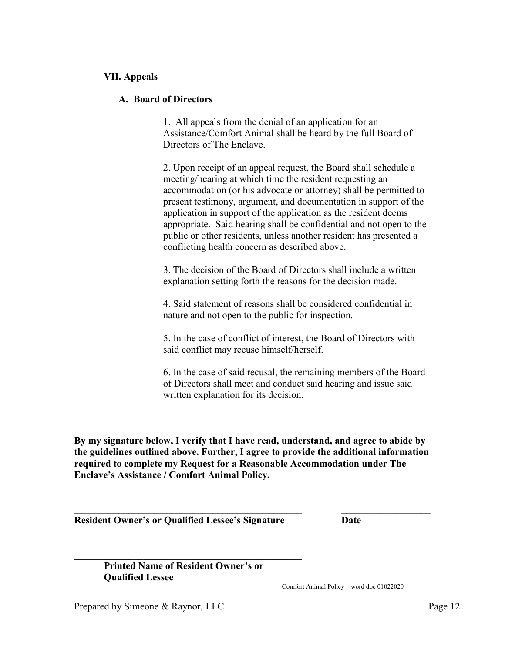#### **VII. Appeals**

#### **A. Board of Directors**

1. All appeals from the denial of an application for an Assistance/Comfort Animal shall be heard by the full Board of Directors of The Enclave.

2. Upon receipt of an appeal request, the Board shall schedule a meeting/hearing at which time the resident requesting an accommodation (or his advocate or attorney) shall be permitted to present testimony, argument, and documentation in support of the application in support of the application as the resident deems appropriate. Said hearing shall be confidential and not open to the public or other residents, unless another resident has presented a conflicting health concern as described above.

3. The decision of the Board of Directors shall include a written explanation setting forth the reasons for the decision made.

4. Said statement of reasons shall be considered confidential in nature and not open to the public for inspection.

5. In the case of conflict of interest, the Board of Directors with said conflict may recuse himself/herself.

6. In the case of said recusal, the remaining members of the Board of Directors shall meet and conduct said hearing and issue said written explanation for its decision.

**By my signature below, I verify that I have read, understand, and agree to abide by the guidelines outlined above. Further, I agree to provide the additional information required to complete my Request for a Reasonable Accommodation under The Enclave's Assistance / Comfort Animal Policy.**

**\_\_\_\_\_\_\_\_\_\_\_\_\_\_\_\_\_\_\_\_\_\_\_\_\_\_\_\_\_\_\_\_\_\_\_\_\_\_\_\_\_\_\_\_\_\_ \_\_\_\_\_\_\_\_\_\_\_\_\_\_\_\_\_\_**

**Resident Owner's or Qualified Lessee's Signature Date**

**Printed Name of Resident Owner's or Qualified Lessee**

**\_\_\_\_\_\_\_\_\_\_\_\_\_\_\_\_\_\_\_\_\_\_\_\_\_\_\_\_\_\_\_\_\_\_\_\_\_\_\_\_\_\_\_\_\_\_**

Comfort Animal Policy – word doc 01022020

Prepared by Simeone & Raynor, LLC Page 12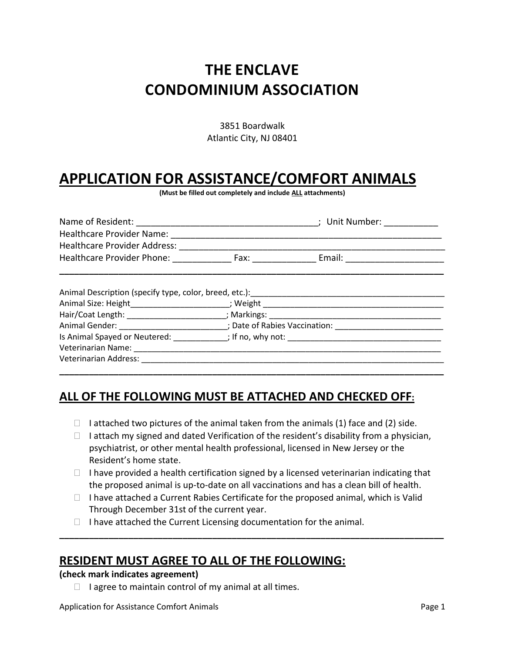# **THE ENCLAVE CONDOMINIUM ASSOCIATION**

3851 Boardwalk Atlantic City, NJ 08401

# **APPLICATION FOR ASSISTANCE/COMFORT ANIMALS**

**(Must be filled out completely and include ALL attachments)**

| Animal Gender: __________________________; Date of Rabies Vaccination: ____________________________ |  |  |
|-----------------------------------------------------------------------------------------------------|--|--|
|                                                                                                     |  |  |
|                                                                                                     |  |  |
|                                                                                                     |  |  |
|                                                                                                     |  |  |

### **ALL OF THE FOLLOWING MUST BE ATTACHED AND CHECKED OFF:**

- $\Box$  I attached two pictures of the animal taken from the animals (1) face and (2) side.
- $\Box$  I attach my signed and dated Verification of the resident's disability from a physician, psychiatrist, or other mental health professional, licensed in New Jersey or the Resident's home state.
- $\Box$  I have provided a health certification signed by a licensed veterinarian indicating that the proposed animal is up-to-date on all vaccinations and has a clean bill of health.
- $\Box$  I have attached a Current Rabies Certificate for the proposed animal, which is Valid Through December 31st of the current year.

**\_\_\_\_\_\_\_\_\_\_\_\_\_\_\_\_\_\_\_\_\_\_\_\_\_\_\_\_\_\_\_\_\_\_\_\_\_\_\_\_\_\_\_\_\_\_\_\_\_\_\_\_\_\_\_\_\_\_\_\_\_\_\_\_\_\_\_\_\_\_\_\_\_\_\_\_\_\_**

 $\Box$  I have attached the Current Licensing documentation for the animal.

### **RESIDENT MUST AGREE TO ALL OF THE FOLLOWING:**

#### **(check mark indicates agreement)**

 $\Box$  I agree to maintain control of my animal at all times.

Application for Assistance Comfort Animals **Page 1** and *Page 1* and *Page 1* and *Page 1*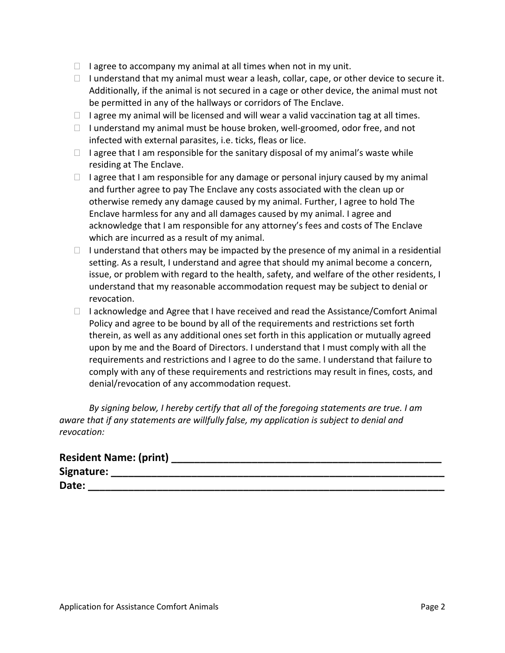- $\Box$  I agree to accompany my animal at all times when not in my unit.
- $\Box$  I understand that my animal must wear a leash, collar, cape, or other device to secure it. Additionally, if the animal is not secured in a cage or other device, the animal must not be permitted in any of the hallways or corridors of The Enclave.
- $\Box$  I agree my animal will be licensed and will wear a valid vaccination tag at all times.
- $\Box$  I understand my animal must be house broken, well-groomed, odor free, and not infected with external parasites, i.e. ticks, fleas or lice.
- $\Box$  I agree that I am responsible for the sanitary disposal of my animal's waste while residing at The Enclave.
- $\Box$  I agree that I am responsible for any damage or personal injury caused by my animal and further agree to pay The Enclave any costs associated with the clean up or otherwise remedy any damage caused by my animal. Further, I agree to hold The Enclave harmless for any and all damages caused by my animal. I agree and acknowledge that I am responsible for any attorney's fees and costs of The Enclave which are incurred as a result of my animal.
- $\Box$  I understand that others may be impacted by the presence of my animal in a residential setting. As a result, I understand and agree that should my animal become a concern, issue, or problem with regard to the health, safety, and welfare of the other residents, I understand that my reasonable accommodation request may be subject to denial or revocation.
- $\Box$  I acknowledge and Agree that I have received and read the Assistance/Comfort Animal Policy and agree to be bound by all of the requirements and restrictions set forth therein, as well as any additional ones set forth in this application or mutually agreed upon by me and the Board of Directors. I understand that I must comply with all the requirements and restrictions and I agree to do the same. I understand that failure to comply with any of these requirements and restrictions may result in fines, costs, and denial/revocation of any accommodation request.

*By signing below, I hereby certify that all of the foregoing statements are true. I am aware that if any statements are willfully false, my application is subject to denial and revocation:*

| <b>Resident Name: (print)</b> |  |
|-------------------------------|--|
| Signature:                    |  |
| Date:                         |  |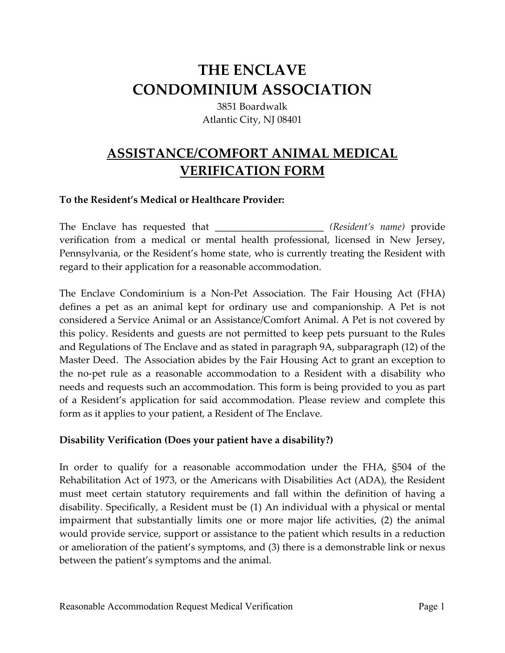# **THE ENCLAVE CONDOMINIUM ASSOCIATION**

3851 Boardwalk Atlantic City, NJ 08401

# **ASSISTANCE/COMFORT ANIMAL MEDICAL VERIFICATION FORM**

#### **To the Resident's Medical or Healthcare Provider:**

The Enclave has requested that \_\_\_\_\_\_\_\_\_\_\_\_\_\_\_\_\_\_\_\_\_\_ *(Resident's name)* provide verification from a medical or mental health professional, licensed in New Jersey, Pennsylvania, or the Resident's home state, who is currently treating the Resident with regard to their application for a reasonable accommodation.

The Enclave Condominium is a Non-Pet Association. The Fair Housing Act (FHA) defines a pet as an animal kept for ordinary use and companionship. A Pet is not considered a Service Animal or an Assistance/Comfort Animal. A Pet is not covered by this policy. Residents and guests are not permitted to keep pets pursuant to the Rules and Regulations of The Enclave and as stated in paragraph 9A, subparagraph (12) of the Master Deed. The Association abides by the Fair Housing Act to grant an exception to the no-pet rule as a reasonable accommodation to a Resident with a disability who needs and requests such an accommodation. This form is being provided to you as part of a Resident's application for said accommodation. Please review and complete this form as it applies to your patient, a Resident of The Enclave.

#### **Disability Verification (Does your patient have a disability?)**

In order to qualify for a reasonable accommodation under the FHA, §504 of the Rehabilitation Act of 1973, or the Americans with Disabilities Act (ADA), the Resident must meet certain statutory requirements and fall within the definition of having a disability. Specifically, a Resident must be (1) An individual with a physical or mental impairment that substantially limits one or more major life activities, (2) the animal would provide service, support or assistance to the patient which results in a reduction or amelioration of the patient's symptoms, and (3) there is a demonstrable link or nexus between the patient's symptoms and the animal.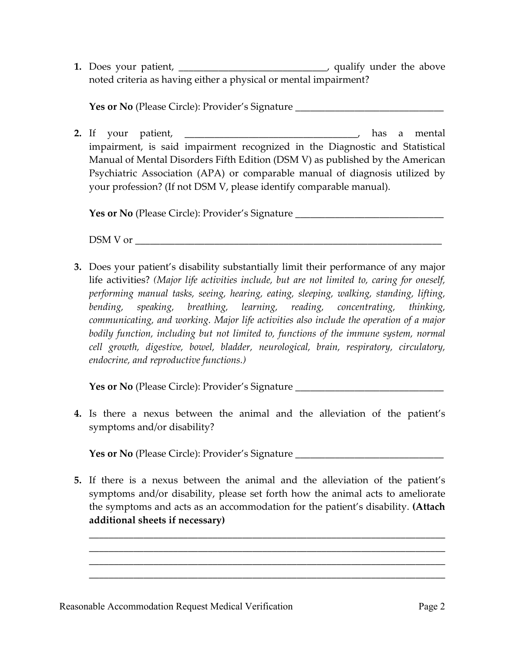**1.** Does your patient, **the subset of the above** during qualify under the above noted criteria as having either a physical or mental impairment?

Yes or No (Please Circle): Provider's Signature \_\_\_\_\_\_\_\_\_\_\_\_\_\_\_\_\_\_\_\_\_\_\_\_\_\_\_\_\_\_\_\_

**2.** If your patient, \_\_\_\_\_\_\_\_\_\_\_\_\_\_\_\_\_\_\_\_\_\_\_\_\_\_\_\_\_\_\_\_\_\_\_, has a mental impairment, is said impairment recognized in the Diagnostic and Statistical Manual of Mental Disorders Fifth Edition (DSM V) as published by the American Psychiatric Association (APA) or comparable manual of diagnosis utilized by your profession? (If not DSM V, please identify comparable manual).

**Yes or No** (Please Circle): Provider's Signature

DSM V or

**3.** Does your patient's disability substantially limit their performance of any major life activities? *(Major life activities include, but are not limited to, caring for oneself, performing manual tasks, seeing, hearing, eating, sleeping, walking, standing, lifting, bending, speaking, breathing, learning, reading, concentrating, thinking, communicating, and working. Major life activities also include the operation of a major*  bodily function, including but not limited to, functions of the immune system, normal *cell growth, digestive, bowel, bladder, neurological, brain, respiratory, circulatory, endocrine, and reproductive functions.)*

**Yes or No** (Please Circle): Provider's Signature \_\_\_\_\_\_\_\_\_\_\_\_\_\_\_\_\_\_\_\_\_\_\_\_\_\_\_\_\_\_\_\_

**4.** Is there a nexus between the animal and the alleviation of the patient's symptoms and/or disability?

**Yes or No** (Please Circle): Provider's Signature \_\_\_\_\_\_\_\_\_\_\_\_\_\_\_\_\_\_\_\_\_\_\_\_\_\_\_\_\_\_\_\_

**5.** If there is a nexus between the animal and the alleviation of the patient's symptoms and/or disability, please set forth how the animal acts to ameliorate the symptoms and acts as an accommodation for the patient's disability. **(Attach additional sheets if necessary)**

\_\_\_\_\_\_\_\_\_\_\_\_\_\_\_\_\_\_\_\_\_\_\_\_\_\_\_\_\_\_\_\_\_\_\_\_\_\_\_\_\_\_\_\_\_\_\_\_\_\_\_\_\_\_\_\_\_\_\_\_\_\_\_\_\_\_\_\_\_\_\_\_ \_\_\_\_\_\_\_\_\_\_\_\_\_\_\_\_\_\_\_\_\_\_\_\_\_\_\_\_\_\_\_\_\_\_\_\_\_\_\_\_\_\_\_\_\_\_\_\_\_\_\_\_\_\_\_\_\_\_\_\_\_\_\_\_\_\_\_\_\_\_\_\_ \_\_\_\_\_\_\_\_\_\_\_\_\_\_\_\_\_\_\_\_\_\_\_\_\_\_\_\_\_\_\_\_\_\_\_\_\_\_\_\_\_\_\_\_\_\_\_\_\_\_\_\_\_\_\_\_\_\_\_\_\_\_\_\_\_\_\_\_\_\_\_\_ \_\_\_\_\_\_\_\_\_\_\_\_\_\_\_\_\_\_\_\_\_\_\_\_\_\_\_\_\_\_\_\_\_\_\_\_\_\_\_\_\_\_\_\_\_\_\_\_\_\_\_\_\_\_\_\_\_\_\_\_\_\_\_\_\_\_\_\_\_\_\_\_